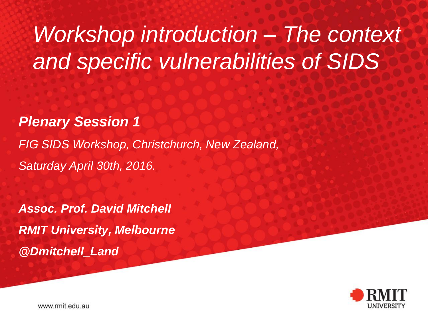# *Workshop introduction – The context and specific vulnerabilities of SIDS*

*Plenary Session 1*

*FIG SIDS Workshop, Christchurch, New Zealand, Saturday April 30th, 2016.*

*Assoc. Prof. David Mitchell RMIT University, Melbourne @Dmitchell\_Land*



www.rmit.edu.au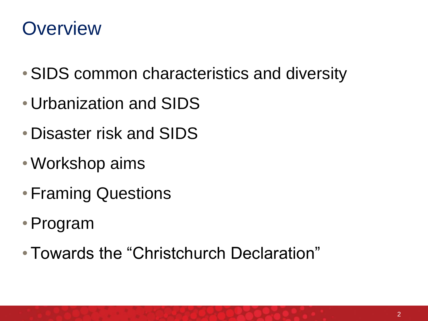#### **Overview**

- •SIDS common characteristics and diversity
- Urbanization and SIDS
- Disaster risk and SIDS
- Workshop aims
- Framing Questions
- •Program
- Towards the "Christchurch Declaration"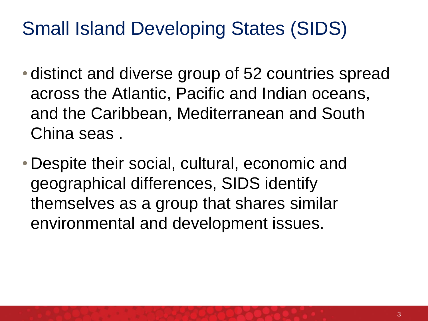#### Small Island Developing States (SIDS)

- distinct and diverse group of 52 countries spread across the Atlantic, Pacific and Indian oceans, and the Caribbean, Mediterranean and South China seas .
- Despite their social, cultural, economic and geographical differences, SIDS identify themselves as a group that shares similar environmental and development issues.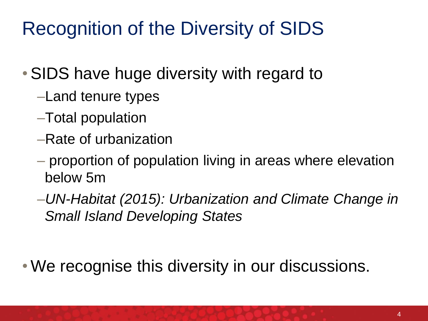## Recognition of the Diversity of SIDS

#### •SIDS have huge diversity with regard to

- –Land tenure types
- –Total population
- –Rate of urbanization
- proportion of population living in areas where elevation below 5m
- –*UN-Habitat (2015): Urbanization and Climate Change in Small Island Developing States*

• We recognise this diversity in our discussions.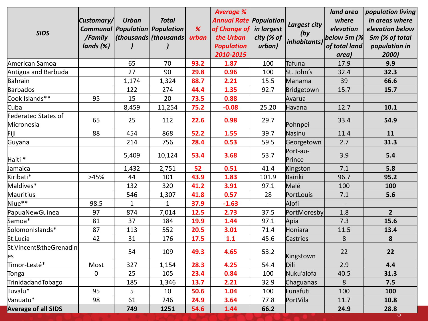| <b>SIDS</b>                       | Customary/<br><b>Communal</b><br>/Family<br>lands (%) | <b>Urban</b><br><b>Population Population</b><br>(this  (thousands) | <b>Total</b> | %<br>urban | <b>Average %</b><br><b>Annual Rate Population</b><br>of Change of<br>the Urban<br><b>Population</b><br>2010-2015 | in largest<br>city (% of<br>urban) | <b>Largest city</b><br>(by)<br><i>inhabitants</i> ) | land area<br>where<br>elevation<br>below 5 $m$ (%<br>of total land<br>area) | population living<br>in areas where<br>elevation below<br>5m (% of total<br>population in<br>2000) |
|-----------------------------------|-------------------------------------------------------|--------------------------------------------------------------------|--------------|------------|------------------------------------------------------------------------------------------------------------------|------------------------------------|-----------------------------------------------------|-----------------------------------------------------------------------------|----------------------------------------------------------------------------------------------------|
| American Samoa                    |                                                       | 65                                                                 | 70           | 93.2       | 1.87                                                                                                             | 100                                | Tafuna                                              | 17.9                                                                        | 9.9                                                                                                |
| Antigua and Barbuda               |                                                       | 27                                                                 | 90           | 29.8       | 0.96                                                                                                             | 100                                | St. John's                                          | 32.4                                                                        | 32.3                                                                                               |
| Bahrain                           |                                                       | 1,174                                                              | 1,324        | 88.7       | 2.21                                                                                                             | 15.5                               | Manama                                              | 39                                                                          | 66.6                                                                                               |
| Barbados                          |                                                       | 122                                                                | 274          | 44.4       | 1.35                                                                                                             | 92.7                               | Bridgetown                                          | 15.7                                                                        | 15.7                                                                                               |
| Cook Islands**                    | 95                                                    | 15                                                                 | 20           | 73.5       | 0.88                                                                                                             |                                    | Avarua                                              |                                                                             |                                                                                                    |
| Cuba                              |                                                       | 8,459                                                              | 11,254       | 75.2       | $-0.08$                                                                                                          | 25.20                              | Havana                                              | 12.7                                                                        | 10.1                                                                                               |
| Federated States of<br>Micronesia | 65                                                    | 25                                                                 | 112          | 22.6       | 0.98                                                                                                             | 29.7                               | Pohnpei                                             | 33.4                                                                        | 54.9                                                                                               |
| Fiji                              | 88                                                    | 454                                                                | 868          | 52.2       | 1.55                                                                                                             | 39.7                               | Nasinu                                              | 11.4                                                                        | 11                                                                                                 |
| Guyana                            |                                                       | 214                                                                | 756          | 28.4       | 0.53                                                                                                             | 59.5                               | Georgetown                                          | 2.7                                                                         | 31.3                                                                                               |
| Haiti *                           |                                                       | 5,409                                                              | 10,124       | 53.4       | 3.68                                                                                                             | 53.7                               | Port-au-<br>Prince                                  | 3.9                                                                         | 5.4                                                                                                |
| Jamaica                           |                                                       | 1,432                                                              | 2,751        | 52         | 0.51                                                                                                             | 41.4                               | Kingston                                            | 7.1                                                                         | 5.8                                                                                                |
| Kiribati*                         | >45%                                                  | 44                                                                 | 101          | 43.9       | 1.83                                                                                                             | 101.9                              | Bairiki                                             | 96.7                                                                        | 95.2                                                                                               |
| Maldives*                         |                                                       | 132                                                                | 320          | 41.2       | 3.91                                                                                                             | 97.1                               | Malé                                                | 100                                                                         | 100                                                                                                |
| Mauritius                         |                                                       | 546                                                                | 1,307        | 41.8       | 0.57                                                                                                             | 28                                 | PortLouis                                           | 7.1                                                                         | 5.6                                                                                                |
| Niue**                            | 98.5                                                  | $\mathbf{1}$                                                       | $\mathbf{1}$ | 37.9       | $-1.63$                                                                                                          | $\equiv$                           | Alofi                                               | $\overline{\phantom{a}}$                                                    |                                                                                                    |
| PapuaNewGuinea                    | 97                                                    | 874                                                                | 7,014        | 12.5       | 2.73                                                                                                             | 37.5                               | PortMoresby                                         | 1.8                                                                         | $\overline{2}$                                                                                     |
| Samoa*                            | 81                                                    | 37                                                                 | 184          | 19.9       | 1.44                                                                                                             | 97.1                               | Apia                                                | 7.3                                                                         | 15.6                                                                                               |
| SolomonIslands*                   | 87                                                    | 113                                                                | 552          | 20.5       | 3.01                                                                                                             | 71.4                               | Honiara                                             | 11.5                                                                        | 13.4                                                                                               |
| St.Lucia                          | 42                                                    | 31                                                                 | 176          | 17.5       | 1.1                                                                                                              | 45.6                               | Castries                                            | 8                                                                           | 8                                                                                                  |
| St.Vincent&theGrenadin<br>es      |                                                       | 54                                                                 | 109          | 49.3       | 4.65                                                                                                             | 53.2                               | Kingstown                                           | 22                                                                          | 22                                                                                                 |
| Timor-Lesté*                      | Most                                                  | 327                                                                | 1,154        | 28.3       | 4.25                                                                                                             | 54.4                               | Dili                                                | 2.9                                                                         | 4.4                                                                                                |
| Tonga                             | 0                                                     | 25                                                                 | 105          | 23.4       | 0.84                                                                                                             | 100                                | Nuku'alofa                                          | 40.5                                                                        | 31.3                                                                                               |
| TrinidadandTobago                 |                                                       | 185                                                                | 1,346        | 13.7       | 2.21                                                                                                             | 32.9                               | Chaguanas                                           | $\,8\,$                                                                     | 7.5                                                                                                |
| Tuvalu*                           | 95                                                    | 5                                                                  | 10           | 50.6       | 1.04                                                                                                             | 100                                | Funafuti                                            | 100                                                                         | 100                                                                                                |
| Vanuatu*                          | 98                                                    | 61                                                                 | 246          | 24.9       | 3.64                                                                                                             | 77.8                               | PortVila                                            | 11.7                                                                        | 10.8                                                                                               |
| <b>Average of all SIDS</b>        |                                                       | 749                                                                | 1251         | 54.6       | 1.44                                                                                                             | 66.2                               |                                                     | 24.9                                                                        | 28.8<br>$\overline{\sigma}$                                                                        |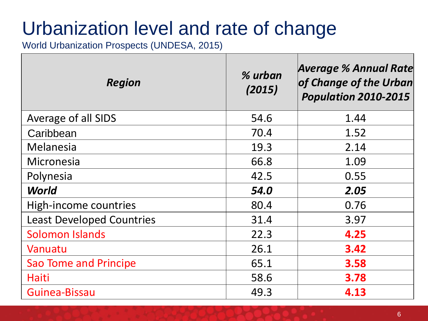#### Urbanization level and rate of change

World Urbanization Prospects (UNDESA, 2015)

| <b>Region</b>                    | % urban<br>(2015) | <b>Average % Annual Rate</b><br>of Change of the Urban<br>Population 2010-2015 |
|----------------------------------|-------------------|--------------------------------------------------------------------------------|
| Average of all SIDS              | 54.6              | 1.44                                                                           |
| Caribbean                        | 70.4              | 1.52                                                                           |
| Melanesia                        | 19.3              | 2.14                                                                           |
| Micronesia                       | 66.8              | 1.09                                                                           |
| Polynesia                        | 42.5              | 0.55                                                                           |
| <b>World</b>                     | 54.0              | 2.05                                                                           |
| High-income countries            | 80.4              | 0.76                                                                           |
| <b>Least Developed Countries</b> | 31.4              | 3.97                                                                           |
| <b>Solomon Islands</b>           | 22.3              | 4.25                                                                           |
| Vanuatu                          | 26.1              | 3.42                                                                           |
| <b>Sao Tome and Principe</b>     | 65.1              | 3.58                                                                           |
| Haiti                            | 58.6              | 3.78                                                                           |
| Guinea-Bissau                    | 49.3              | 4.13                                                                           |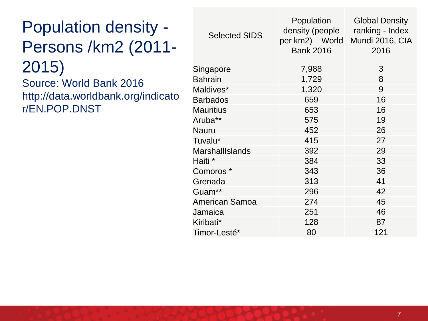#### Population density - Persons /km2 (2011- 2015)

Source: World Bank 2016 http://data.worldbank.org/indicato r/EN.POP.DNST

| <b>Selected SIDS</b>   | Population<br>density (people<br><b>Bank 2016</b> | <b>Global Density</b><br>ranking - Index<br>per km2) World Mundi 2016, CIA<br>2016 |
|------------------------|---------------------------------------------------|------------------------------------------------------------------------------------|
| Singapore              | 7,988                                             | 3                                                                                  |
| <b>Bahrain</b>         | 1,729                                             | 8                                                                                  |
| Maldives*              | 1,320                                             | 9                                                                                  |
| <b>Barbados</b>        | 659                                               | 16                                                                                 |
| <b>Mauritius</b>       | 653                                               | 16                                                                                 |
| Aruba**                | 575                                               | 19                                                                                 |
| Nauru                  | 452                                               | 26                                                                                 |
| Tuvalu*                | 415                                               | 27                                                                                 |
| <b>MarshallIslands</b> | 392                                               | 29                                                                                 |
| Haiti *                | 384                                               | 33                                                                                 |
| Comoros *              | 343                                               | 36                                                                                 |
| Grenada                | 313                                               | 41                                                                                 |
| Guam**                 | 296                                               | 42                                                                                 |
| American Samoa         | 274                                               | 45                                                                                 |
| Jamaica                | 251                                               | 46                                                                                 |
| Kiribati*              | 128                                               | 87                                                                                 |
| Timor-Lesté*           | 80                                                | 121                                                                                |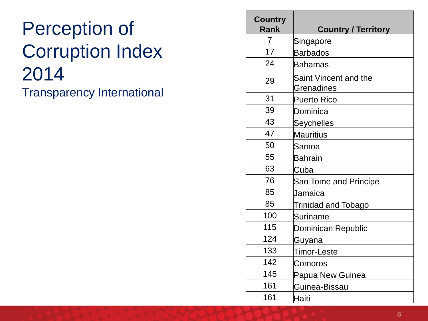#### Perception of Corruption Index Transparency International

| <b>Country</b><br><b>Rank</b> | <b>Country / Territory</b>          |
|-------------------------------|-------------------------------------|
| $\overline{7}$                | Singapore                           |
| 17                            | <b>Barbados</b>                     |
| 24                            | <b>Bahamas</b>                      |
| 29                            | Saint Vincent and the<br>Grenadines |
| 31                            | <b>Puerto Rico</b>                  |
| 39                            | Dominica                            |
| 43                            | <b>Seychelles</b>                   |
| 47                            | Mauritius                           |
| 50                            | Samoa                               |
| 55                            | Bahrain                             |
| 63                            | Cuba                                |
| 76                            | Sao Tome and Principe               |
| 85                            | Jamaica                             |
| 85                            | <b>Trinidad and Tobago</b>          |
| 100                           | Suriname                            |
| 115                           | Dominican Republic                  |
| 124                           | Guyana                              |
| 133                           | Timor-Leste                         |
| 142                           | Comoros                             |
| 145                           | Papua New Guinea                    |
| 161                           | Guinea-Bissau                       |
| 161                           | Haiti                               |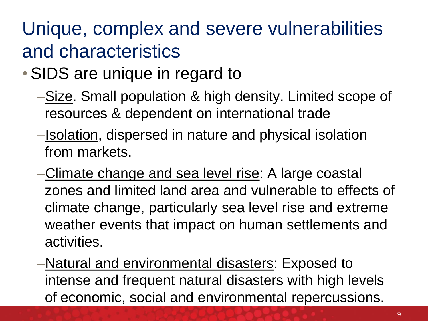### Unique, complex and severe vulnerabilities and characteristics

- SIDS are unique in regard to
	- –Size. Small population & high density. Limited scope of resources & dependent on international trade
	- –Isolation, dispersed in nature and physical isolation from markets.
	- –Climate change and sea level rise: A large coastal zones and limited land area and vulnerable to effects of climate change, particularly sea level rise and extreme weather events that impact on human settlements and activities.
	- –Natural and environmental disasters: Exposed to intense and frequent natural disasters with high levels of economic, social and environmental repercussions.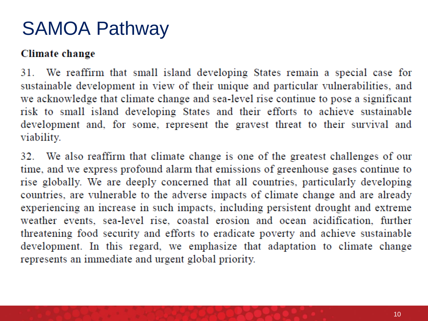#### SAMOA Pathway

#### Climate change

31. We reaffirm that small island developing States remain a special case for sustainable development in view of their unique and particular vulnerabilities, and we acknowledge that climate change and sea-level rise continue to pose a significant risk to small island developing States and their efforts to achieve sustainable development and, for some, represent the gravest threat to their survival and viability.

32. We also reaffirm that climate change is one of the greatest challenges of our time, and we express profound alarm that emissions of greenhouse gases continue to rise globally. We are deeply concerned that all countries, particularly developing countries, are vulnerable to the adverse impacts of climate change and are already experiencing an increase in such impacts, including persistent drought and extreme weather events, sea-level rise, coastal erosion and ocean acidification, further threatening food security and efforts to eradicate poverty and achieve sustainable development. In this regard, we emphasize that adaptation to climate change represents an immediate and urgent global priority.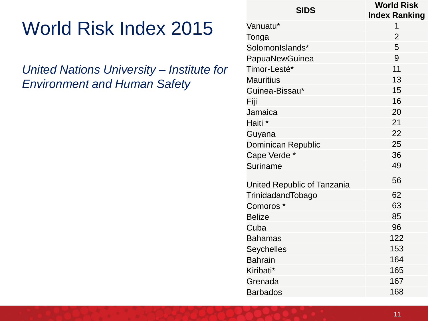### World Risk Index 2015

*United Nations University – Institute for Environment and Human Safety*

| <b>SIDS</b>                 | <b>World Risk</b><br><b>Index Ranking</b> |
|-----------------------------|-------------------------------------------|
| Vanuatu*                    | 1                                         |
| Tonga                       | $\overline{2}$                            |
| SolomonIslands*             | 5                                         |
| PapuaNewGuinea              | 9                                         |
| Timor-Lesté*                | 11                                        |
| <b>Mauritius</b>            | 13                                        |
| Guinea-Bissau*              | 15                                        |
| Fiji                        | 16                                        |
| Jamaica                     | 20                                        |
| Haiti <sup>*</sup>          | 21                                        |
| Guyana                      | 22                                        |
| <b>Dominican Republic</b>   | 25                                        |
| Cape Verde *                | 36                                        |
| Suriname                    | 49                                        |
| United Republic of Tanzania | 56                                        |
| TrinidadandTobago           | 62                                        |
| Comoros <sup>*</sup>        | 63                                        |
| <b>Belize</b>               | 85                                        |
| Cuba                        | 96                                        |
| <b>Bahamas</b>              | 122                                       |
| Seychelles                  | 153                                       |
| <b>Bahrain</b>              | 164                                       |
| Kiribati*                   | 165                                       |
| Grenada                     | 167                                       |
| <b>Barbados</b>             | 168                                       |
|                             |                                           |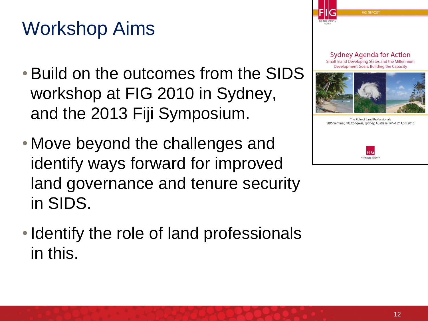## Workshop Aims

- •Build on the outcomes from the SIDS workshop at FIG 2010 in Sydney, and the 2013 Fiji Symposium.
- Move beyond the challenges and identify ways forward for improved land governance and tenure security in SIDS.
- Identify the role of land professionals in this.





The Role of Land Professionals SIDS Seminar, FIG Congress, Sydney, Australia 14th-15th April 2010

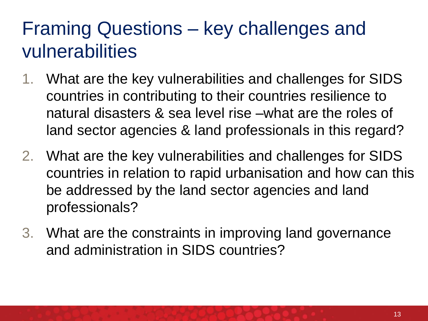#### Framing Questions – key challenges and vulnerabilities

- 1. What are the key vulnerabilities and challenges for SIDS countries in contributing to their countries resilience to natural disasters & sea level rise –what are the roles of land sector agencies & land professionals in this regard?
- 2. What are the key vulnerabilities and challenges for SIDS countries in relation to rapid urbanisation and how can this be addressed by the land sector agencies and land professionals?
- 3. What are the constraints in improving land governance and administration in SIDS countries?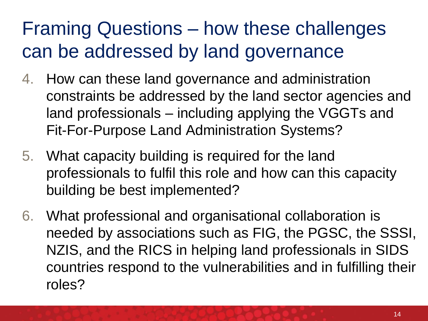### Framing Questions – how these challenges can be addressed by land governance

- 4. How can these land governance and administration constraints be addressed by the land sector agencies and land professionals – including applying the VGGTs and Fit-For-Purpose Land Administration Systems?
- 5. What capacity building is required for the land professionals to fulfil this role and how can this capacity building be best implemented?
- 6. What professional and organisational collaboration is needed by associations such as FIG, the PGSC, the SSSI, NZIS, and the RICS in helping land professionals in SIDS countries respond to the vulnerabilities and in fulfilling their roles?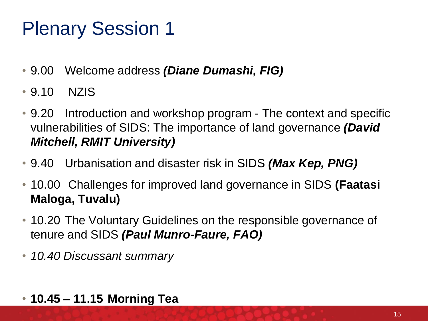### Plenary Session 1

- 9.00 Welcome address *(Diane Dumashi, FIG)*
- 9.10 NZIS
- 9.20 Introduction and workshop program The context and specific vulnerabilities of SIDS: The importance of land governance *(David Mitchell, RMIT University)*
- 9.40 Urbanisation and disaster risk in SIDS *(Max Kep, PNG)*
- 10.00 Challenges for improved land governance in SIDS **(Faatasi Maloga, Tuvalu)**
- 10.20 The Voluntary Guidelines on the responsible governance of tenure and SIDS *(Paul Munro-Faure, FAO)*
- *10.40 Discussant summary*
- **10.45 – 11.15 Morning Tea**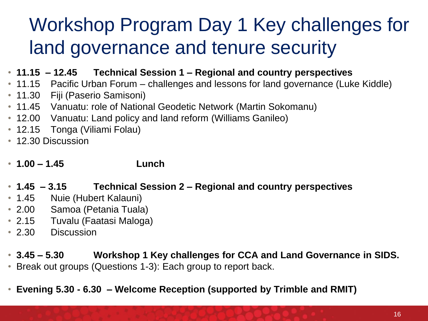## Workshop Program Day 1 Key challenges for land governance and tenure security

- **11.15 – 12.45 Technical Session 1 – Regional and country perspectives**
- 11.15 Pacific Urban Forum challenges and lessons for land governance (Luke Kiddle)
- 11.30 Fiji (Paserio Samisoni)
- 11.45 Vanuatu: role of National Geodetic Network (Martin Sokomanu)
- 12.00 Vanuatu: Land policy and land reform (Williams Ganileo)
- 12.15 Tonga (Viliami Folau)
- 12.30 Discussion
- **1.00 – 1.45 Lunch**
- **1.45 – 3.15 Technical Session 2 – Regional and country perspectives**
- 1.45 Nuie (Hubert Kalauni)
- 2.00 Samoa (Petania Tuala)
- 2.15 Tuvalu (Faatasi Maloga)
- 2.30 Discussion
- **3.45 – 5.30 Workshop 1 Key challenges for CCA and Land Governance in SIDS.**
- Break out groups (Questions 1-3): Each group to report back.
- **Evening 5.30 - 6.30 – Welcome Reception (supported by Trimble and RMIT)**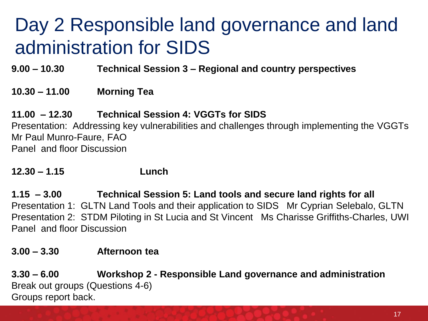### Day 2 Responsible land governance and land administration for SIDS

**9.00 – 10.30 Technical Session 3 – Regional and country perspectives**

#### **10.30 – 11.00 Morning Tea**

#### **11.00 – 12.30 Technical Session 4: VGGTs for SIDS**

Presentation: Addressing key vulnerabilities and challenges through implementing the VGGTs Mr Paul Munro-Faure, FAO Panel and floor Discussion

#### **12.30 – 1.15 Lunch**

**1.15 – 3.00 Technical Session 5: Land tools and secure land rights for all** Presentation 1: GLTN Land Tools and their application to SIDS Mr Cyprian Selebalo, GLTN Presentation 2: STDM Piloting in St Lucia and St Vincent Ms Charisse Griffiths-Charles, UWI Panel and floor Discussion

#### **3.00 – 3.30 Afternoon tea**

**3.30 – 6.00 Workshop 2 - Responsible Land governance and administration** Break out groups (Questions 4-6) Groups report back.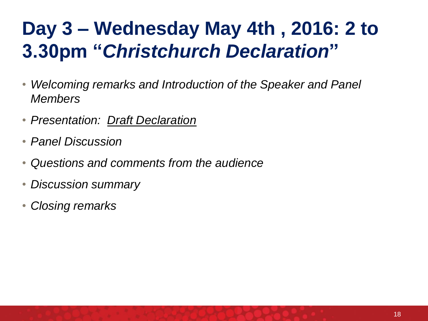## **Day 3 – Wednesday May 4th , 2016: 2 to 3.30pm "***Christchurch Declaration***"**

- *Welcoming remarks and Introduction of the Speaker and Panel Members*
- *Presentation: Draft Declaration*
- *Panel Discussion*
- *Questions and comments from the audience*
- *Discussion summary*
- *Closing remarks*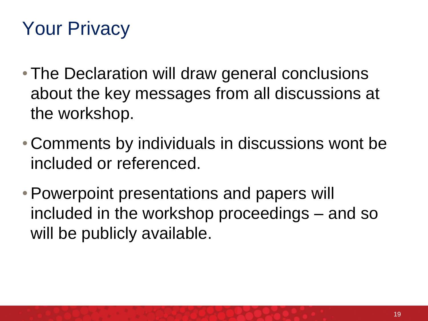## Your Privacy

- The Declaration will draw general conclusions about the key messages from all discussions at the workshop.
- Comments by individuals in discussions wont be included or referenced.
- Powerpoint presentations and papers will included in the workshop proceedings – and so will be publicly available.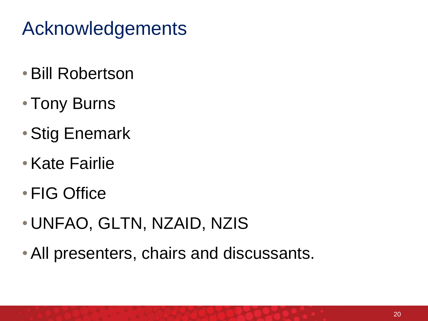### Acknowledgements

- •Bill Robertson
- Tony Burns
- •Stig Enemark
- •Kate Fairlie
- FIG Office
- UNFAO, GLTN, NZAID, NZIS
- •All presenters, chairs and discussants.